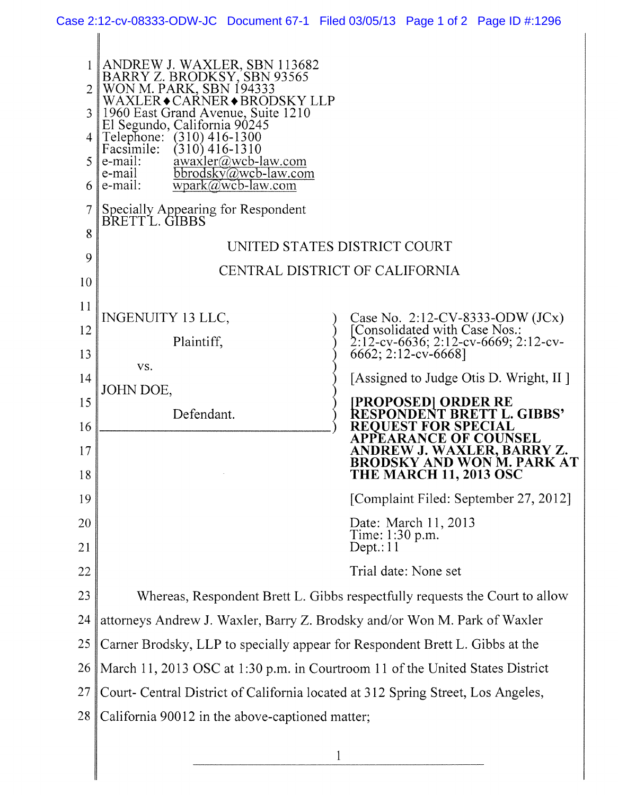|          | ANDREW J. WAXLER, SBN 113682<br>BARRY Z. BRODKSY, SBN 93565<br>WON M. PARK, SBN 194333<br>WAXLER◆CARNER◆BRODSKY LLP |                                                                             |
|----------|---------------------------------------------------------------------------------------------------------------------|-----------------------------------------------------------------------------|
|          | 1960 East Grand Avenue, Suite 1210<br>El Segundo, California 90245                                                  |                                                                             |
|          | Telephone:<br>$(310)$ 416-1300<br>Facsimile:<br>$(310)$ 416-1310                                                    |                                                                             |
|          | awaxler@wcb-law.com<br>e-mail:<br>bbrodsky@wcb-law.com<br>e-mail                                                    |                                                                             |
|          | e-mail:<br>$wpark@wcb-law.com$                                                                                      |                                                                             |
|          | Specially Appearing for Respondent<br>BRETTL. GIBBS                                                                 |                                                                             |
| 8        | UNITED STATES DISTRICT COURT                                                                                        |                                                                             |
| 9        |                                                                                                                     | CENTRAL DISTRICT OF CALIFORNIA                                              |
| 10       |                                                                                                                     |                                                                             |
| 11       | <b>INGENUITY 13 LLC,</b>                                                                                            | Case No. 2:12-CV-8333-ODW (JCx)<br>[Consolidated with Case Nos.:            |
| 12       | Plaintiff,                                                                                                          | 2:12-cv-6636; 2:12-cv-6669; 2:12-cv-                                        |
| 13       | VS.                                                                                                                 | 6662; 2:12-cv-6668]                                                         |
| 14       | JOHN DOE,                                                                                                           | [Assigned to Judge Otis D. Wright, II]                                      |
| 15       | Defendant.                                                                                                          | [PROPOSED] ORDER RE<br>RESPONDENT BRETT L. GIBBS'                           |
| 16       |                                                                                                                     | F COUNSEL                                                                   |
| 17<br>18 |                                                                                                                     | WAXLER, BARRY Z.<br>SKY AND WON M. PARK AT<br><b>THE MARCH 11, 2013 OSC</b> |
| 19       |                                                                                                                     | [Complaint Filed: September 27, 2012]                                       |
| 20       |                                                                                                                     | Date: March 11, 2013<br>Time: 1:30 p.m.                                     |
| 21       |                                                                                                                     | Depth:11                                                                    |
| 22       |                                                                                                                     | Trial date: None set                                                        |
| 23       | Whereas, Respondent Brett L. Gibbs respectfully requests the Court to allow                                         |                                                                             |
| 24       | attorneys Andrew J. Waxler, Barry Z. Brodsky and/or Won M. Park of Waxler                                           |                                                                             |
| 25       | Carner Brodsky, LLP to specially appear for Respondent Brett L. Gibbs at the                                        |                                                                             |
| 26       | March 11, 2013 OSC at 1:30 p.m. in Courtroom 11 of the United States District                                       |                                                                             |
| 27       | Court- Central District of California located at 312 Spring Street, Los Angeles,                                    |                                                                             |
| 28       | California 90012 in the above-captioned matter;                                                                     |                                                                             |
|          |                                                                                                                     |                                                                             |